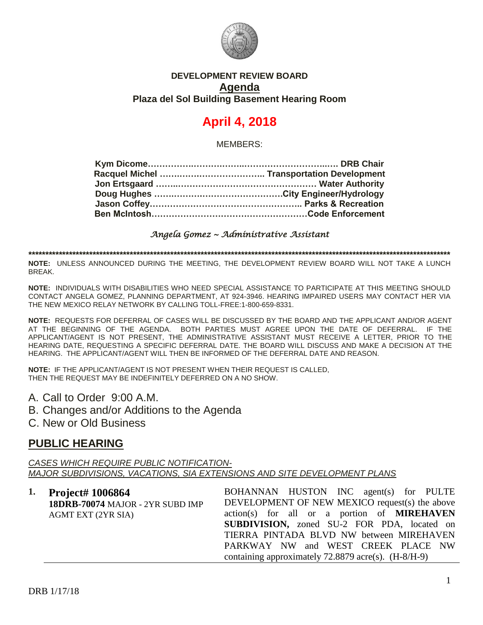

### **DEVELOPMENT REVIEW BOARD Agenda Plaza del Sol Building Basement Hearing Room**

# **April 4, 2018**

MEMBERS:

#### *Angela Gomez ~ Administrative Assistant*

**\*\*\*\*\*\*\*\*\*\*\*\*\*\*\*\*\*\*\*\*\*\*\*\*\*\*\*\*\*\*\*\*\*\*\*\*\*\*\*\*\*\*\*\*\*\*\*\*\*\*\*\*\*\*\*\*\*\*\*\*\*\*\*\*\*\*\*\*\*\*\*\*\*\*\*\*\*\*\*\*\*\*\*\*\*\*\*\*\*\*\*\*\*\*\*\*\*\*\*\*\*\*\*\*\*\*\*\*\*\*\*\*\*\*\*\*\*\*\*\*\*\*\*\*\***

**NOTE:** UNLESS ANNOUNCED DURING THE MEETING, THE DEVELOPMENT REVIEW BOARD WILL NOT TAKE A LUNCH BREAK.

**NOTE:** INDIVIDUALS WITH DISABILITIES WHO NEED SPECIAL ASSISTANCE TO PARTICIPATE AT THIS MEETING SHOULD CONTACT ANGELA GOMEZ, PLANNING DEPARTMENT, AT 924-3946. HEARING IMPAIRED USERS MAY CONTACT HER VIA THE NEW MEXICO RELAY NETWORK BY CALLING TOLL-FREE:1-800-659-8331.

**NOTE:** REQUESTS FOR DEFERRAL OF CASES WILL BE DISCUSSED BY THE BOARD AND THE APPLICANT AND/OR AGENT AT THE BEGINNING OF THE AGENDA. BOTH PARTIES MUST AGREE UPON THE DATE OF DEFERRAL. IF THE APPLICANT/AGENT IS NOT PRESENT, THE ADMINISTRATIVE ASSISTANT MUST RECEIVE A LETTER, PRIOR TO THE HEARING DATE, REQUESTING A SPECIFIC DEFERRAL DATE. THE BOARD WILL DISCUSS AND MAKE A DECISION AT THE HEARING. THE APPLICANT/AGENT WILL THEN BE INFORMED OF THE DEFERRAL DATE AND REASON.

**NOTE:** IF THE APPLICANT/AGENT IS NOT PRESENT WHEN THEIR REQUEST IS CALLED, THEN THE REQUEST MAY BE INDEFINITELY DEFERRED ON A NO SHOW.

- A. Call to Order 9:00 A.M.
- B. Changes and/or Additions to the Agenda
- C. New or Old Business

### **PUBLIC HEARING**

*CASES WHICH REQUIRE PUBLIC NOTIFICATION-MAJOR SUBDIVISIONS, VACATIONS, SIA EXTENSIONS AND SITE DEVELOPMENT PLANS*

| 1. Project# 1006864              | BOHANNAN HUSTON INC agent(s) for PULTE                  |
|----------------------------------|---------------------------------------------------------|
| 18DRB-70074 MAJOR - 2YR SUBD IMP | DEVELOPMENT OF NEW MEXICO request(s) the above          |
| <b>AGMT EXT (2YR SIA)</b>        | action(s) for all or a portion of <b>MIREHAVEN</b>      |
|                                  | <b>SUBDIVISION</b> , zoned SU-2 FOR PDA, located on     |
|                                  | TIERRA PINTADA BLVD NW between MIREHAVEN                |
|                                  | PARKWAY NW and WEST CREEK PLACE NW                      |
|                                  | containing approximately $72.8879$ acre(s). $(H-8/H-9)$ |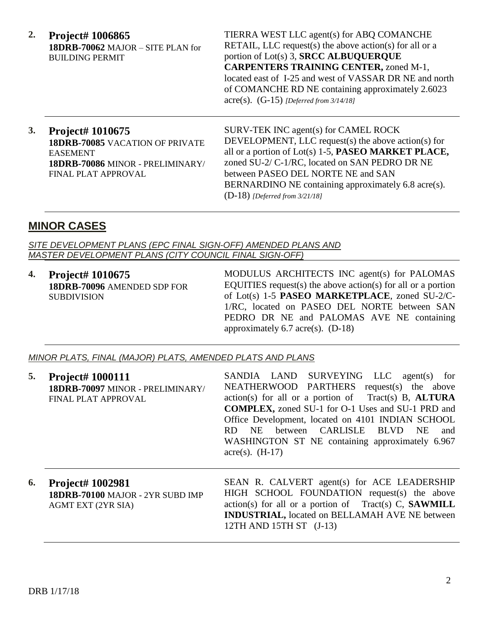**2. Project# 1006865 18DRB-70062** MAJOR – SITE PLAN for BUILDING PERMIT

TIERRA WEST LLC agent(s) for ABQ COMANCHE RETAIL, LLC request(s) the above action(s) for all or a portion of Lot(s) 3, **SRCC ALBUQUERQUE CARPENTERS TRAINING CENTER,** zoned M-1, located east of I-25 and west of VASSAR DR NE and north of COMANCHE RD NE containing approximately 2.6023 acre(s). (G-15) *[Deferred from 3/14/18]*

### **3. Project# 1010675 18DRB-70085** VACATION OF PRIVATE EASEMENT **18DRB-70086** MINOR - PRELIMINARY/ FINAL PLAT APPROVAL

SURV-TEK INC agent(s) for CAMEL ROCK DEVELOPMENT, LLC request(s) the above action(s) for all or a portion of Lot(s) 1-5, **PASEO MARKET PLACE,** zoned SU-2/ C-1/RC, located on SAN PEDRO DR NE between PASEO DEL NORTE NE and SAN BERNARDINO NE containing approximately 6.8 acre(s). (D-18) *[Deferred from 3/21/18]*

## **MINOR CASES**

*SITE DEVELOPMENT PLANS (EPC FINAL SIGN-OFF) AMENDED PLANS AND MASTER DEVELOPMENT PLANS (CITY COUNCIL FINAL SIGN-OFF)*

**4. Project# 1010675 18DRB-70096** AMENDED SDP FOR SUBDIVISION

MODULUS ARCHITECTS INC agent(s) for PALOMAS EQUITIES request(s) the above action(s) for all or a portion of Lot(s) 1-5 **PASEO MARKETPLACE**, zoned SU-2/C-1/RC, located on PASEO DEL NORTE between SAN PEDRO DR NE and PALOMAS AVE NE containing approximately 6.7 acre(s). (D-18)

#### *MINOR PLATS, FINAL (MAJOR) PLATS, AMENDED PLATS AND PLANS*

| 5. | <b>Project# 1000111</b><br>18DRB-70097 MINOR - PRELIMINARY/<br>FINAL PLAT APPROVAL       | SANDIA LAND SURVEYING LLC agent(s) for<br>NEATHERWOOD PARTHERS request(s) the above<br>$action(s)$ for all or a portion of Tract(s) B, ALTURA<br><b>COMPLEX, zoned SU-1 for O-1 Uses and SU-1 PRD and</b><br>Office Development, located on 4101 INDIAN SCHOOL<br>between CARLISLE BLVD<br>NE<br>RD.<br>NE.<br>and<br>WASHINGTON ST NE containing approximately 6.967<br>$\text{acre}(s)$ . (H-17) |
|----|------------------------------------------------------------------------------------------|----------------------------------------------------------------------------------------------------------------------------------------------------------------------------------------------------------------------------------------------------------------------------------------------------------------------------------------------------------------------------------------------------|
| 6. | <b>Project# 1002981</b><br>18DRB-70100 MAJOR - 2YR SUBD IMP<br><b>AGMT EXT (2YR SIA)</b> | SEAN R. CALVERT agent(s) for ACE LEADERSHIP<br>HIGH SCHOOL FOUNDATION request(s) the above<br>$action(s)$ for all or a portion of Tract(s) C, <b>SAWMILL</b><br><b>INDUSTRIAL</b> , located on BELLAMAH AVE NE between<br>$12TH$ AND $15TH$ ST $(J-13)$                                                                                                                                            |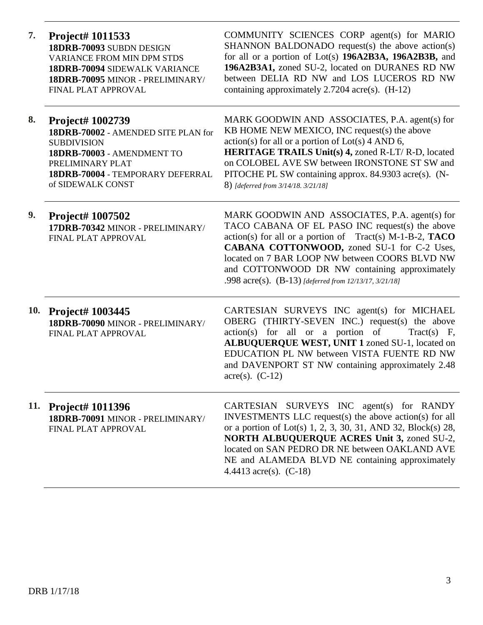**7. Project# 1011533 18DRB-70093** SUBDN DESIGN VARIANCE FROM MIN DPM STDS **18DRB-70094** SIDEWALK VARIANCE **18DRB-70095** MINOR - PRELIMINARY/ FINAL PLAT APPROVAL COMMUNITY SCIENCES CORP agent(s) for MARIO SHANNON BALDONADO request(s) the above action(s) for all or a portion of Lot(s) **196A2B3A, 196A2B3B,** and **196A2B3A1,** zoned SU-2, located on DURANES RD NW between DELIA RD NW and LOS LUCEROS RD NW containing approximately 2.7204 acre(s). (H-12) **8. Project# 1002739 18DRB-70002** - AMENDED SITE PLAN for SUBDIVISION **18DRB-70003** - AMENDMENT TO PRELIMINARY PLAT **18DRB-70004** - TEMPORARY DEFERRAL of SIDEWALK CONST MARK GOODWIN AND ASSOCIATES, P.A. agent(s) for KB HOME NEW MEXICO, INC request(s) the above  $action(s)$  for all or a portion of  $Lot(s)$  4 AND 6, **HERITAGE TRAILS Unit(s) 4,** zoned R-LT/ R-D, located on COLOBEL AVE SW between IRONSTONE ST SW and PITOCHE PL SW containing approx. 84.9303 acre(s). (N-8) *[deferred from 3/14/18. 3/21/18]* **9. Project# 1007502 17DRB-70342** MINOR - PRELIMINARY/ FINAL PLAT APPROVAL MARK GOODWIN AND ASSOCIATES, P.A. agent(s) for TACO CABANA OF EL PASO INC request(s) the above action(s) for all or a portion of Tract(s) M-1-B-2, **TACO CABANA COTTONWOOD,** zoned SU-1 for C-2 Uses, located on 7 BAR LOOP NW between COORS BLVD NW and COTTONWOOD DR NW containing approximately .998 acre(s). (B-13) *[deferred from 12/13/17, 3/21/18]* **10. Project# 1003445 18DRB-70090** MINOR - PRELIMINARY/ FINAL PLAT APPROVAL CARTESIAN SURVEYS INC agent(s) for MICHAEL OBERG (THIRTY-SEVEN INC.) request(s) the above  $action(s)$  for all or a portion of Tract(s) F, **ALBUQUERQUE WEST, UNIT 1** zoned SU-1, located on EDUCATION PL NW between VISTA FUENTE RD NW and DAVENPORT ST NW containing approximately 2.48 acre(s).  $(C-12)$ **11. Project# 1011396 18DRB-70091** MINOR - PRELIMINARY/ FINAL PLAT APPROVAL CARTESIAN SURVEYS INC agent(s) for RANDY INVESTMENTS LLC request(s) the above action(s) for all or a portion of Lot(s) 1, 2, 3, 30, 31, AND 32, Block(s) 28, **NORTH ALBUQUERQUE ACRES Unit 3,** zoned SU-2, located on SAN PEDRO DR NE between OAKLAND AVE NE and ALAMEDA BLVD NE containing approximately 4.4413 acre(s). (C-18)